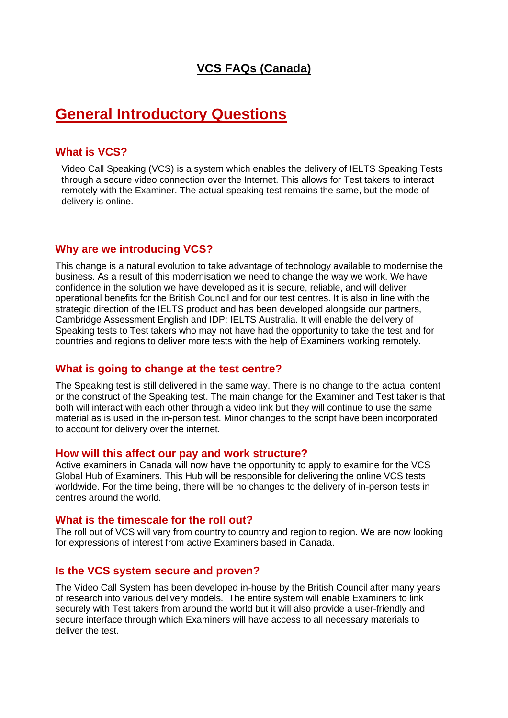### **VCS FAQs (Canada)**

## **General Introductory Questions**

#### **What is VCS?**

Video Call Speaking (VCS) is a system which enables the delivery of IELTS Speaking Tests through a secure video connection over the Internet. This allows for Test takers to interact remotely with the Examiner. The actual speaking test remains the same, but the mode of delivery is online.

#### **Why are we introducing VCS?**

This change is a natural evolution to take advantage of technology available to modernise the business. As a result of this modernisation we need to change the way we work. We have confidence in the solution we have developed as it is secure, reliable, and will deliver operational benefits for the British Council and for our test centres. It is also in line with the strategic direction of the IELTS product and has been developed alongside our partners, Cambridge Assessment English and IDP: IELTS Australia. It will enable the delivery of Speaking tests to Test takers who may not have had the opportunity to take the test and for countries and regions to deliver more tests with the help of Examiners working remotely.

#### **What is going to change at the test centre?**

The Speaking test is still delivered in the same way. There is no change to the actual content or the construct of the Speaking test. The main change for the Examiner and Test taker is that both will interact with each other through a video link but they will continue to use the same material as is used in the in-person test. Minor changes to the script have been incorporated to account for delivery over the internet.

#### **How will this affect our pay and work structure?**

Active examiners in Canada will now have the opportunity to apply to examine for the VCS Global Hub of Examiners. This Hub will be responsible for delivering the online VCS tests worldwide. For the time being, there will be no changes to the delivery of in-person tests in centres around the world.

#### **What is the timescale for the roll out?**

The roll out of VCS will vary from country to country and region to region. We are now looking for expressions of interest from active Examiners based in Canada.

#### **Is the VCS system secure and proven?**

The Video Call System has been developed in-house by the British Council after many years of research into various delivery models. The entire system will enable Examiners to link securely with Test takers from around the world but it will also provide a user-friendly and secure interface through which Examiners will have access to all necessary materials to deliver the test.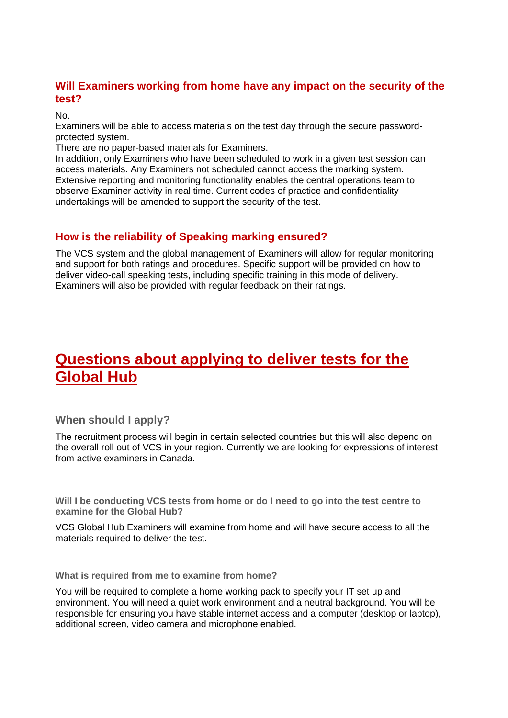### **Will Examiners working from home have any impact on the security of the test?**

No.

Examiners will be able to access materials on the test day through the secure passwordprotected system.

There are no paper-based materials for Examiners.

In addition, only Examiners who have been scheduled to work in a given test session can access materials. Any Examiners not scheduled cannot access the marking system. Extensive reporting and monitoring functionality enables the central operations team to observe Examiner activity in real time. Current codes of practice and confidentiality undertakings will be amended to support the security of the test.

#### **How is the reliability of Speaking marking ensured?**

The VCS system and the global management of Examiners will allow for regular monitoring and support for both ratings and procedures. Specific support will be provided on how to deliver video-call speaking tests, including specific training in this mode of delivery. Examiners will also be provided with regular feedback on their ratings.

# **Questions about applying to deliver tests for the Global Hub**

#### **When should I apply?**

The recruitment process will begin in certain selected countries but this will also depend on the overall roll out of VCS in your region. Currently we are looking for expressions of interest from active examiners in Canada.

**Will I be conducting VCS tests from home or do I need to go into the test centre to examine for the Global Hub?** 

VCS Global Hub Examiners will examine from home and will have secure access to all the materials required to deliver the test.

**What is required from me to examine from home?**

You will be required to complete a home working pack to specify your IT set up and environment. You will need a quiet work environment and a neutral background. You will be responsible for ensuring you have stable internet access and a computer (desktop or laptop), additional screen, video camera and microphone enabled.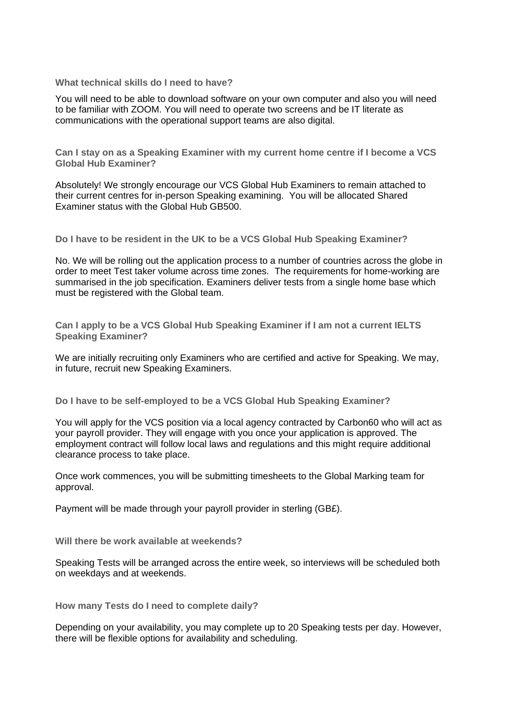**What technical skills do I need to have?**

You will need to be able to download software on your own computer and also you will need to be familiar with ZOOM. You will need to operate two screens and be IT literate as communications with the operational support teams are also digital.

**Can I stay on as a Speaking Examiner with my current home centre if I become a VCS Global Hub Examiner?**

Absolutely! We strongly encourage our VCS Global Hub Examiners to remain attached to their current centres for in-person Speaking examining. You will be allocated Shared Examiner status with the Global Hub GB500.

**Do I have to be resident in the UK to be a VCS Global Hub Speaking Examiner?**

No. We will be rolling out the application process to a number of countries across the globe in order to meet Test taker volume across time zones. The requirements for home-working are summarised in the job specification. Examiners deliver tests from a single home base which must be registered with the Global team.

**Can I apply to be a VCS Global Hub Speaking Examiner if I am not a current IELTS Speaking Examiner?** 

We are initially recruiting only Examiners who are certified and active for Speaking. We may, in future, recruit new Speaking Examiners.

**Do I have to be self-employed to be a VCS Global Hub Speaking Examiner?**

You will apply for the VCS position via a local agency contracted by Carbon60 who will act as your payroll provider. They will engage with you once your application is approved. The employment contract will follow local laws and regulations and this might require additional clearance process to take place.

Once work commences, you will be submitting timesheets to the Global Marking team for approval.

Payment will be made through your payroll provider in sterling (GB£).

**Will there be work available at weekends?**

Speaking Tests will be arranged across the entire week, so interviews will be scheduled both on weekdays and at weekends.

**How many Tests do I need to complete daily?**

Depending on your availability, you may complete up to 20 Speaking tests per day. However, there will be flexible options for availability and scheduling.